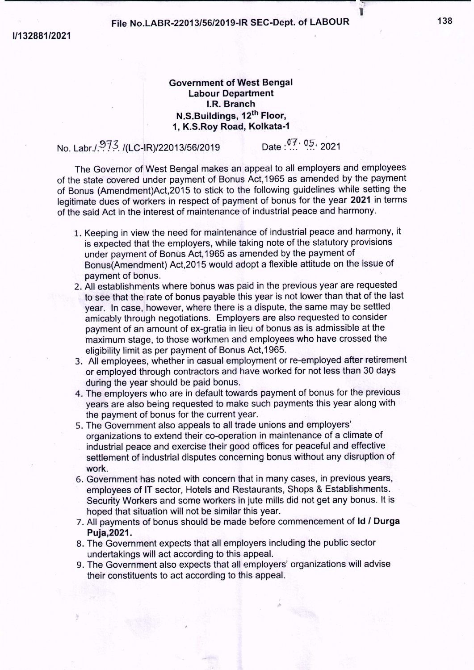*1/132881/2021*

## File No.LABR-22013/56/2019-IR SEC-Dept. of LABOUR 138

 $--\frac{1}{2}$  and  $--\frac{1}{2}$  and  $--\frac{1}{2}$  and  $--\frac{1}{2}$  and  $--\frac{1}{2}$  and  $--\frac{1}{2}$  and  $--\frac{1}{2}$  and  $--\frac{1}{2}$  and  $--\frac{1}{2}$  and  $--\frac{1}{2}$  and  $-+\frac{1}{2}$  and  $-+\frac{1}{2}$  and  $-+\frac{1}{2}$  and  $-+\frac{1}{2}$  and  $-+\frac{1}{2}$ 

## Government of West Bengal Labour Department I.R. Branch N.S.Buildings, 12th Floor, 1, K.S.Roy Road, Kolkata-1

No. Labr./.973. /(LC-IR)/22013/56/2019 Date : 07. 05. 2021

The Governor of West Bengal makes an appeal to all employers and employees of the state covered under payment of Bonus Act, 1965 as amended by the payment of Bonus (Amendment)Act,2015 to stick to the following guidelines while setting the legitimate dues of workers in respect of payment of bonus for the year 2021 in terms of the said Act in the interest of maintenance of industrial peace and harmony.

- 1. Keeping in view the need for maintenance of industrial peace and harmony, it is expected that the employers, while taking note of the statutory provisions under payment of Bonus Act, 1965 as amended by the payment of Bonus(Amendment) Act,2015 would adopt a flexible attitude on the issue of payment of bonus.
- 2. All establishments where bonus was paid in the previous year are requested to see that the rate of bonus payable this year is not lower than that of the last year. In case, however, where there is a dispute, the same may be settled amicably through negotiations. Employers are also requested to consider payment of an amount of ex-gratia in lieu of bonus as is admissible at the maximum stage, to those workmen and employees who have crossed the eligibility limit as per payment of Bonus Act,1965.
- 3. All employees, whether in casual employment or re-employed after retirement or employed through contractors and have worked for not less than 30 days during the year should be paid bonus.
- 4. The employers who are in default towards payment of bonus for the previous years are also being requested to make such payments this year along with the payment of bonus for the current year.
- 5. The Government also appeals to all trade unions and employers' organizations to extend their co-operation in maintenance of a climate of industrial peace and exercise their good offices for peaceful and effective settlement of industrial disputes concerning bonus without any disruption of work.
- 6. Government has noted with concern that in many cases, in previous years, employees of IT sector, Hotels and Restaurants, Shops & Establishments. Security Workers and some workers in jute mills did not get any bonus. It is hoped that situation will not be similar this year.
- 7. All payments of bonus should be made before commencement of Id *I* Durga Puja,2021.
- 8. The Government expects that all employers including the public sector undertakings will act according to this appeal.
- 9. The Government also expects that all employers' organizations will advise their constituents to act according to this appeal.

1